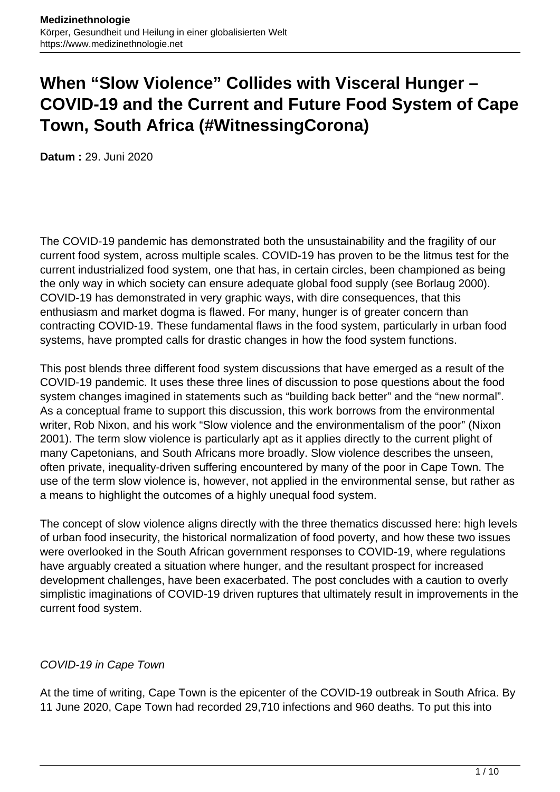# **When "Slow Violence" Collides with Visceral Hunger – COVID-19 and the Current and Future Food System of Cape Town, South Africa (#WitnessingCorona)**

**Datum :** 29. Juni 2020

The COVID-19 pandemic has demonstrated both the unsustainability and the fragility of our current food system, across multiple scales. COVID-19 has proven to be the litmus test for the current industrialized food system, one that has, in certain circles, been championed as being the only way in which society can ensure adequate global food supply (see Borlaug 2000). COVID-19 has demonstrated in very graphic ways, with dire consequences, that this enthusiasm and market dogma is flawed. For many, hunger is of greater concern than contracting COVID-19. These fundamental flaws in the food system, particularly in urban food systems, have prompted calls for drastic changes in how the food system functions.

This post blends three different food system discussions that have emerged as a result of the COVID-19 pandemic. It uses these three lines of discussion to pose questions about the food system changes imagined in statements such as "building back better" and the "new normal". As a conceptual frame to support this discussion, this work borrows from the environmental writer, Rob Nixon, and his work "Slow violence and the environmentalism of the poor" (Nixon 2001). The term slow violence is particularly apt as it applies directly to the current plight of many Capetonians, and South Africans more broadly. Slow violence describes the unseen, often private, inequality-driven suffering encountered by many of the poor in Cape Town. The use of the term slow violence is, however, not applied in the environmental sense, but rather as a means to highlight the outcomes of a highly unequal food system.

The concept of slow violence aligns directly with the three thematics discussed here: high levels of urban food insecurity, the historical normalization of food poverty, and how these two issues were overlooked in the South African government responses to COVID-19, where regulations have arguably created a situation where hunger, and the resultant prospect for increased development challenges, have been exacerbated. The post concludes with a caution to overly simplistic imaginations of COVID-19 driven ruptures that ultimately result in improvements in the current food system.

# COVID-19 in Cape Town

At the time of writing, Cape Town is the epicenter of the COVID-19 outbreak in South Africa. By 11 June 2020, Cape Town had recorded 29,710 infections and 960 deaths. To put this into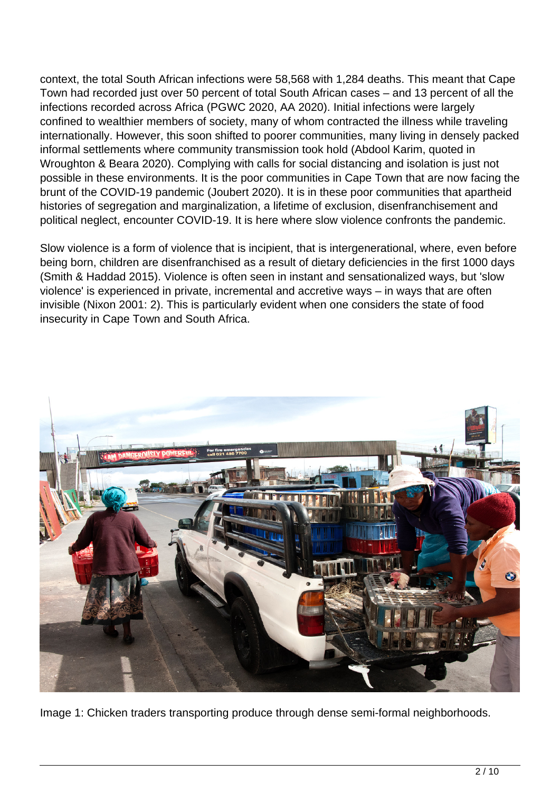context, the total South African infections were 58,568 with 1,284 deaths. This meant that Cape Town had recorded just over 50 percent of total South African cases – and 13 percent of all the infections recorded across Africa (PGWC 2020, AA 2020). Initial infections were largely confined to wealthier members of society, many of whom contracted the illness while traveling internationally. However, this soon shifted to poorer communities, many living in densely packed informal settlements where community transmission took hold (Abdool Karim, quoted in Wroughton & Beara 2020). Complying with calls for social distancing and isolation is just not possible in these environments. It is the poor communities in Cape Town that are now facing the brunt of the COVID-19 pandemic (Joubert 2020). It is in these poor communities that apartheid histories of segregation and marginalization, a lifetime of exclusion, disenfranchisement and political neglect, encounter COVID-19. It is here where slow violence confronts the pandemic.

Slow violence is a form of violence that is incipient, that is intergenerational, where, even before being born, children are disenfranchised as a result of dietary deficiencies in the first 1000 days (Smith & Haddad 2015). Violence is often seen in instant and sensationalized ways, but 'slow violence' is experienced in private, incremental and accretive ways – in ways that are often invisible (Nixon 2001: 2). This is particularly evident when one considers the state of food insecurity in Cape Town and South Africa.



Image 1: Chicken traders transporting produce through dense semi-formal neighborhoods.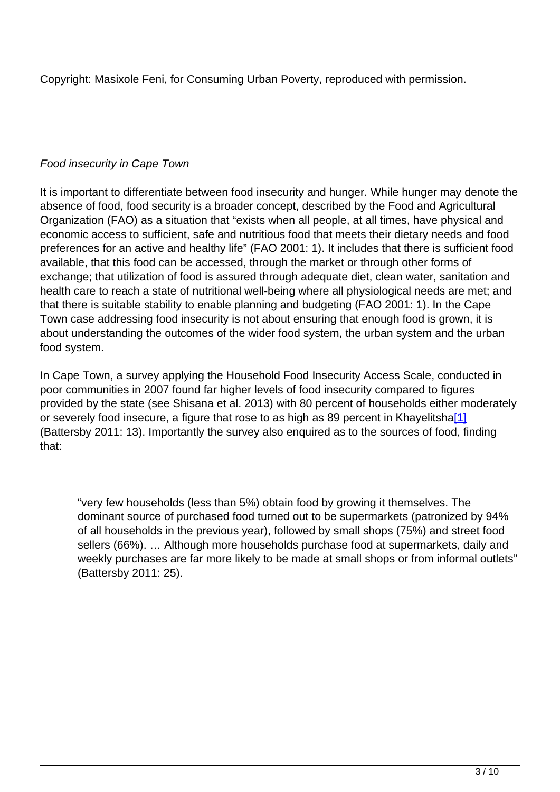Copyright: Masixole Feni, for Consuming Urban Poverty, reproduced with permission.

# Food insecurity in Cape Town

It is important to differentiate between food insecurity and hunger. While hunger may denote the absence of food, food security is a broader concept, described by the Food and Agricultural Organization (FAO) as a situation that "exists when all people, at all times, have physical and economic access to sufficient, safe and nutritious food that meets their dietary needs and food preferences for an active and healthy life" (FAO 2001: 1). It includes that there is sufficient food available, that this food can be accessed, through the market or through other forms of exchange; that utilization of food is assured through adequate diet, clean water, sanitation and health care to reach a state of nutritional well-being where all physiological needs are met; and that there is suitable stability to enable planning and budgeting (FAO 2001: 1). In the Cape Town case addressing food insecurity is not about ensuring that enough food is grown, it is about understanding the outcomes of the wider food system, the urban system and the urban food system.

In Cape Town, a survey applying the Household Food Insecurity Access Scale, conducted in poor communities in 2007 found far higher levels of food insecurity compared to figures provided by the state (see Shisana et al. 2013) with 80 percent of households either moderately or severely food insecure, a figure that rose to as high as 89 percent in Khayelitsha<sup>[1]</sup> (Battersby 2011: 13). Importantly the survey also enquired as to the sources of food, finding that:

"very few households (less than 5%) obtain food by growing it themselves. The dominant source of purchased food turned out to be supermarkets (patronized by 94% of all households in the previous year), followed by small shops (75%) and street food sellers (66%). … Although more households purchase food at supermarkets, daily and weekly purchases are far more likely to be made at small shops or from informal outlets" (Battersby 2011: 25).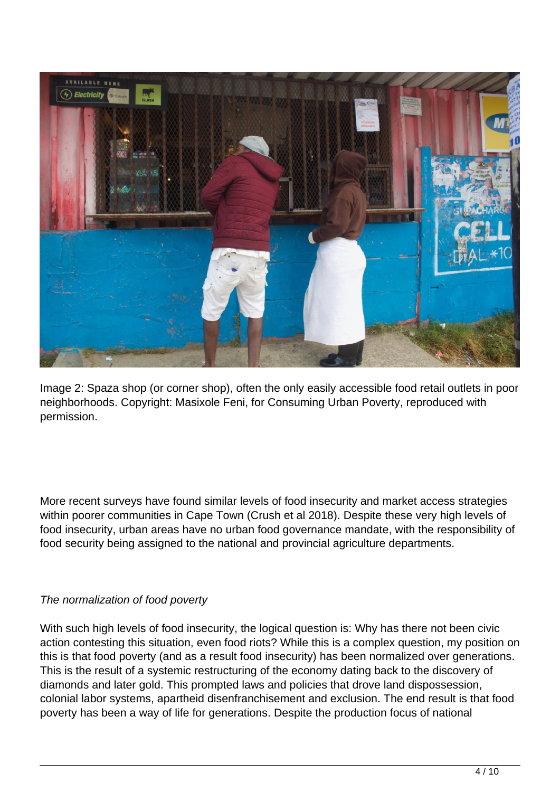

Image 2: Spaza shop (or corner shop), often the only easily accessible food retail outlets in poor neighborhoods. Copyright: Masixole Feni, for Consuming Urban Poverty, reproduced with permission.

More recent surveys have found similar levels of food insecurity and market access strategies within poorer communities in Cape Town (Crush et al 2018). Despite these very high levels of food insecurity, urban areas have no urban food governance mandate, with the responsibility of food security being assigned to the national and provincial agriculture departments.

# The normalization of food poverty

With such high levels of food insecurity, the logical question is: Why has there not been civic action contesting this situation, even food riots? While this is a complex question, my position on this is that food poverty (and as a result food insecurity) has been normalized over generations. This is the result of a systemic restructuring of the economy dating back to the discovery of diamonds and later gold. This prompted laws and policies that drove land dispossession, colonial labor systems, apartheid disenfranchisement and exclusion. The end result is that food poverty has been a way of life for generations. Despite the production focus of national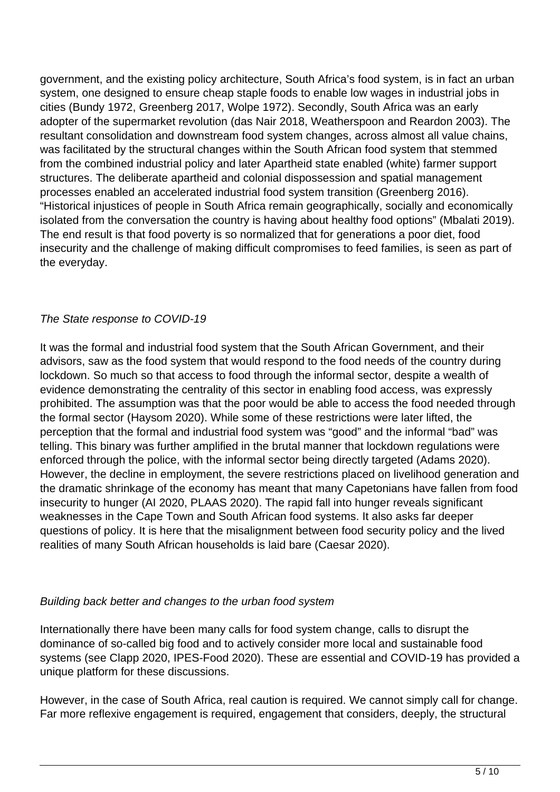government, and the existing policy architecture, South Africa's food system, is in fact an urban system, one designed to ensure cheap staple foods to enable low wages in industrial jobs in cities (Bundy 1972, Greenberg 2017, Wolpe 1972). Secondly, South Africa was an early adopter of the supermarket revolution (das Nair 2018, Weatherspoon and Reardon 2003). The resultant consolidation and downstream food system changes, across almost all value chains, was facilitated by the structural changes within the South African food system that stemmed from the combined industrial policy and later Apartheid state enabled (white) farmer support structures. The deliberate apartheid and colonial dispossession and spatial management processes enabled an accelerated industrial food system transition (Greenberg 2016). "Historical injustices of people in South Africa remain geographically, socially and economically isolated from the conversation the country is having about healthy food options" (Mbalati 2019). The end result is that food poverty is so normalized that for generations a poor diet, food insecurity and the challenge of making difficult compromises to feed families, is seen as part of the everyday.

#### The State response to COVID-19

It was the formal and industrial food system that the South African Government, and their advisors, saw as the food system that would respond to the food needs of the country during lockdown. So much so that access to food through the informal sector, despite a wealth of evidence demonstrating the centrality of this sector in enabling food access, was expressly prohibited. The assumption was that the poor would be able to access the food needed through the formal sector (Haysom 2020). While some of these restrictions were later lifted, the perception that the formal and industrial food system was "good" and the informal "bad" was telling. This binary was further amplified in the brutal manner that lockdown regulations were enforced through the police, with the informal sector being directly targeted (Adams 2020). However, the decline in employment, the severe restrictions placed on livelihood generation and the dramatic shrinkage of the economy has meant that many Capetonians have fallen from food insecurity to hunger (AI 2020, PLAAS 2020). The rapid fall into hunger reveals significant weaknesses in the Cape Town and South African food systems. It also asks far deeper questions of policy. It is here that the misalignment between food security policy and the lived realities of many South African households is laid bare (Caesar 2020).

#### Building back better and changes to the urban food system

Internationally there have been many calls for food system change, calls to disrupt the dominance of so-called big food and to actively consider more local and sustainable food systems (see Clapp 2020, IPES-Food 2020). These are essential and COVID-19 has provided a unique platform for these discussions.

However, in the case of South Africa, real caution is required. We cannot simply call for change. Far more reflexive engagement is required, engagement that considers, deeply, the structural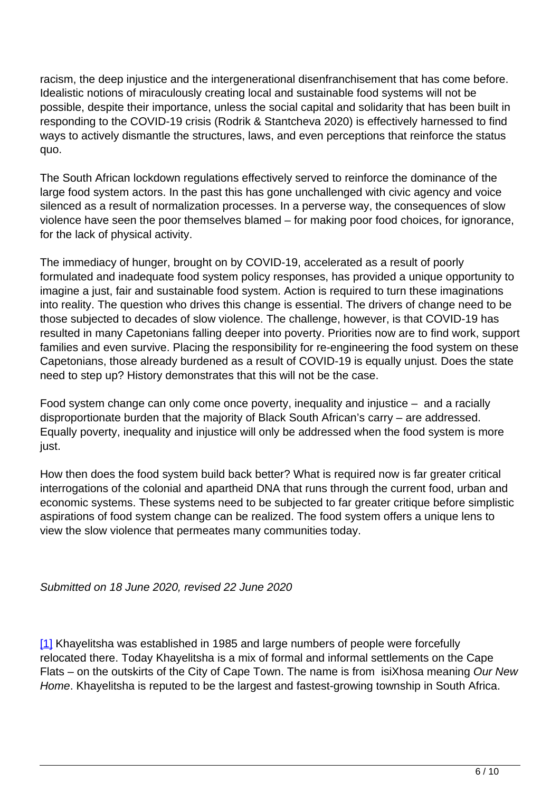racism, the deep injustice and the intergenerational disenfranchisement that has come before. Idealistic notions of miraculously creating local and sustainable food systems will not be possible, despite their importance, unless the social capital and solidarity that has been built in responding to the COVID-19 crisis (Rodrik & Stantcheva 2020) is effectively harnessed to find ways to actively dismantle the structures, laws, and even perceptions that reinforce the status quo.

The South African lockdown regulations effectively served to reinforce the dominance of the large food system actors. In the past this has gone unchallenged with civic agency and voice silenced as a result of normalization processes. In a perverse way, the consequences of slow violence have seen the poor themselves blamed – for making poor food choices, for ignorance, for the lack of physical activity.

The immediacy of hunger, brought on by COVID-19, accelerated as a result of poorly formulated and inadequate food system policy responses, has provided a unique opportunity to imagine a just, fair and sustainable food system. Action is required to turn these imaginations into reality. The question who drives this change is essential. The drivers of change need to be those subjected to decades of slow violence. The challenge, however, is that COVID-19 has resulted in many Capetonians falling deeper into poverty. Priorities now are to find work, support families and even survive. Placing the responsibility for re-engineering the food system on these Capetonians, those already burdened as a result of COVID-19 is equally unjust. Does the state need to step up? History demonstrates that this will not be the case.

Food system change can only come once poverty, inequality and injustice – and a racially disproportionate burden that the majority of Black South African's carry – are addressed. Equally poverty, inequality and injustice will only be addressed when the food system is more just.

How then does the food system build back better? What is required now is far greater critical interrogations of the colonial and apartheid DNA that runs through the current food, urban and economic systems. These systems need to be subjected to far greater critique before simplistic aspirations of food system change can be realized. The food system offers a unique lens to view the slow violence that permeates many communities today.

Submitted on 18 June 2020, revised 22 June 2020

[1] Khayelitsha was established in 1985 and large numbers of people were forcefully relocated there. Today Khayelitsha is a mix of formal and informal settlements on the Cape Flats – on the outskirts of the City of Cape Town. The name is from isiXhosa meaning Our New Home. Khayelitsha is reputed to be the largest and fastest-growing township in South Africa.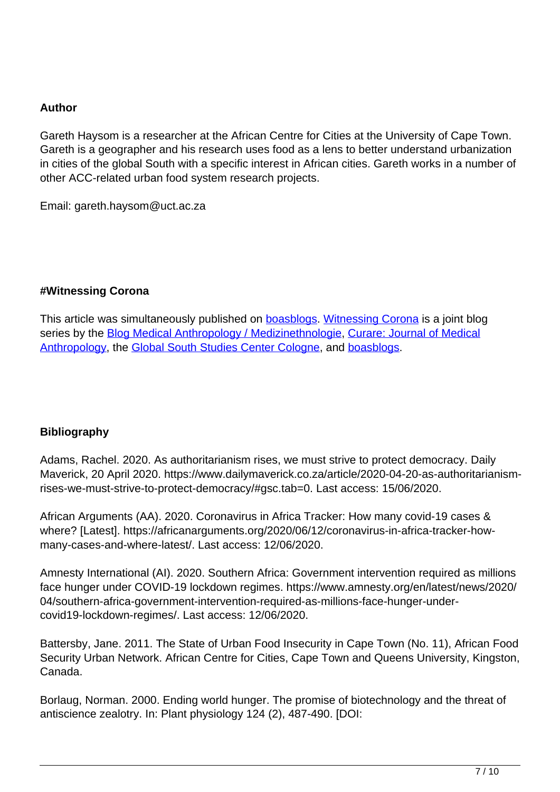#### **Author**

Gareth Haysom is a researcher at the African Centre for Cities at the University of Cape Town. Gareth is a geographer and his research uses food as a lens to better understand urbanization in cities of the global South with a specific interest in African cities. Gareth works in a number of other ACC-related urban food system research projects.

Email: gareth.haysom@uct.ac.za

#### **#Witnessing Corona**

This article was simultaneously published on **[boasblogs](https://boasblogs.org/witnessingcorona/)**. [Witnessing Corona](https://www.medizinethnologie.net/aktuelles/) is a joint blog series by the **[Blog Medical Anthropology / Medizinethnologie](https://www.medizinethnologie.net/), [Curare: Journal of Medical](http://agem.de/curare/)** [Anthropology](http://agem.de/curare/), the [Global South Studies Center Cologne](http://gssc.uni-koeln.de/), and [boasblogs.](https://boasblogs.org/witnessingcorona/)

# **Bibliography**

Adams, Rachel. 2020. As authoritarianism rises, we must strive to protect democracy. Daily Maverick, 20 April 2020. https://www.dailymaverick.co.za/article/2020-04-20-as-authoritarianismrises-we-must-strive-to-protect-democracy/#gsc.tab=0. Last access: 15/06/2020.

African Arguments (AA). 2020. Coronavirus in Africa Tracker: How many covid-19 cases & where? [Latest]. https://africanarguments.org/2020/06/12/coronavirus-in-africa-tracker-howmany-cases-and-where-latest/. Last access: 12/06/2020.

Amnesty International (AI). 2020. Southern Africa: Government intervention required as millions face hunger under COVID-19 lockdown regimes. https://www.amnesty.org/en/latest/news/2020/ 04/southern-africa-government-intervention-required-as-millions-face-hunger-undercovid19-lockdown-regimes/. Last access: 12/06/2020.

Battersby, Jane. 2011. The State of Urban Food Insecurity in Cape Town (No. 11), African Food Security Urban Network. African Centre for Cities, Cape Town and Queens University, Kingston, Canada.

Borlaug, Norman. 2000. Ending world hunger. The promise of biotechnology and the threat of antiscience zealotry. In: Plant physiology 124 (2), 487-490. [DOI: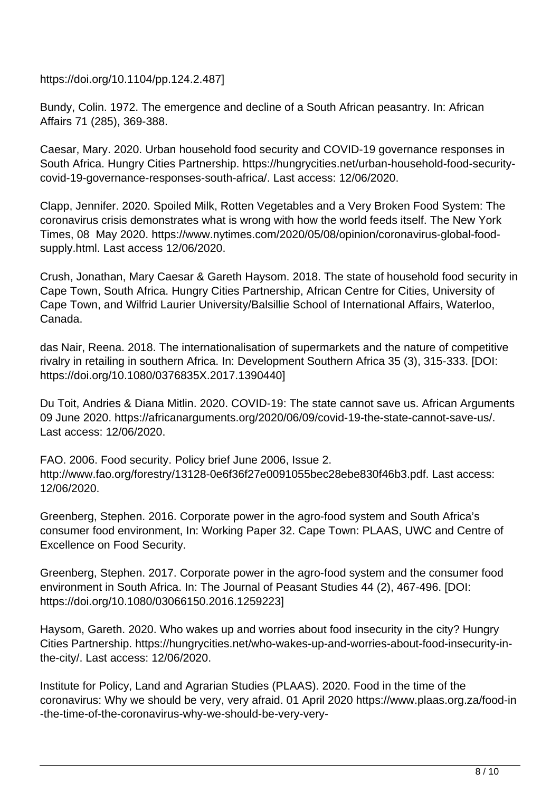https://doi.org/10.1104/pp.124.2.487]

Bundy, Colin. 1972. The emergence and decline of a South African peasantry. In: African Affairs 71 (285), 369-388.

Caesar, Mary. 2020. Urban household food security and COVID-19 governance responses in South Africa. Hungry Cities Partnership. https://hungrycities.net/urban-household-food-securitycovid-19-governance-responses-south-africa/. Last access: 12/06/2020.

Clapp, Jennifer. 2020. Spoiled Milk, Rotten Vegetables and a Very Broken Food System: The coronavirus crisis demonstrates what is wrong with how the world feeds itself. The New York Times, 08 May 2020. https://www.nytimes.com/2020/05/08/opinion/coronavirus-global-foodsupply.html. Last access 12/06/2020.

Crush, Jonathan, Mary Caesar & Gareth Haysom. 2018. The state of household food security in Cape Town, South Africa. Hungry Cities Partnership, African Centre for Cities, University of Cape Town, and Wilfrid Laurier University/Balsillie School of International Affairs, Waterloo, Canada.

das Nair, Reena. 2018. The internationalisation of supermarkets and the nature of competitive rivalry in retailing in southern Africa. In: Development Southern Africa 35 (3), 315-333. [DOI: https://doi.org/10.1080/0376835X.2017.1390440]

Du Toit, Andries & Diana Mitlin. 2020. COVID-19: The state cannot save us. African Arguments 09 June 2020. https://africanarguments.org/2020/06/09/covid-19-the-state-cannot-save-us/. Last access: 12/06/2020.

FAO. 2006. Food security. Policy brief June 2006, Issue 2. http://www.fao.org/forestry/13128-0e6f36f27e0091055bec28ebe830f46b3.pdf. Last access: 12/06/2020.

Greenberg, Stephen. 2016. Corporate power in the agro-food system and South Africa's consumer food environment, In: Working Paper 32. Cape Town: PLAAS, UWC and Centre of Excellence on Food Security.

Greenberg, Stephen. 2017. Corporate power in the agro-food system and the consumer food environment in South Africa. In: The Journal of Peasant Studies 44 (2), 467-496. [DOI: https://doi.org/10.1080/03066150.2016.1259223]

Haysom, Gareth. 2020. Who wakes up and worries about food insecurity in the city? Hungry Cities Partnership. https://hungrycities.net/who-wakes-up-and-worries-about-food-insecurity-inthe-city/. Last access: 12/06/2020.

Institute for Policy, Land and Agrarian Studies (PLAAS). 2020. Food in the time of the coronavirus: Why we should be very, very afraid. 01 April 2020 https://www.plaas.org.za/food-in -the-time-of-the-coronavirus-why-we-should-be-very-very-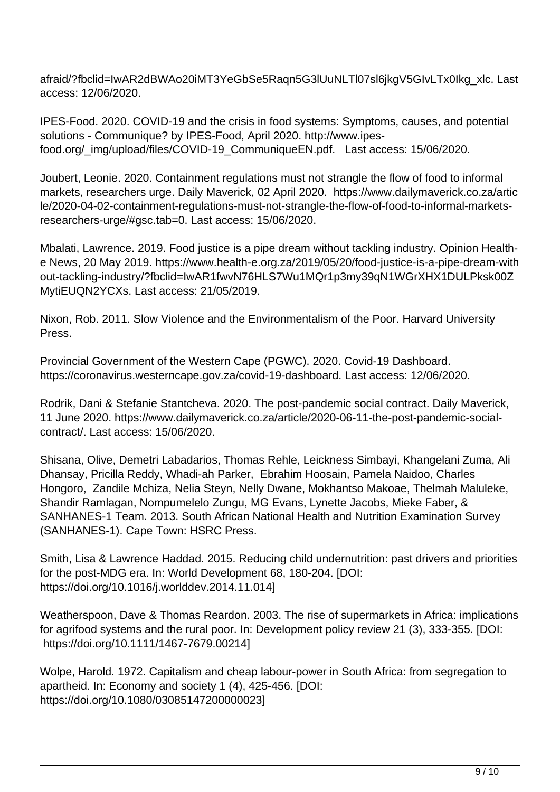afraid/?fbclid=IwAR2dBWAo20iMT3YeGbSe5Raqn5G3lUuNLTl07sl6jkgV5GIvLTx0Ikg\_xlc. Last access: 12/06/2020.

IPES-Food. 2020. COVID-19 and the crisis in food systems: Symptoms, causes, and potential solutions - Communique? by IPES-Food, April 2020. http://www.ipesfood.org/\_img/upload/files/COVID-19\_CommuniqueEN.pdf. Last access: 15/06/2020.

Joubert, Leonie. 2020. Containment regulations must not strangle the flow of food to informal markets, researchers urge. Daily Maverick, 02 April 2020. https://www.dailymaverick.co.za/artic le/2020-04-02-containment-regulations-must-not-strangle-the-flow-of-food-to-informal-marketsresearchers-urge/#gsc.tab=0. Last access: 15/06/2020.

Mbalati, Lawrence. 2019. Food justice is a pipe dream without tackling industry. Opinion Healthe News, 20 May 2019. https://www.health-e.org.za/2019/05/20/food-justice-is-a-pipe-dream-with out-tackling-industry/?fbclid=IwAR1fwvN76HLS7Wu1MQr1p3my39qN1WGrXHX1DULPksk00Z MytiEUQN2YCXs. Last access: 21/05/2019.

Nixon, Rob. 2011. Slow Violence and the Environmentalism of the Poor. Harvard University Press.

Provincial Government of the Western Cape (PGWC). 2020. Covid-19 Dashboard. https://coronavirus.westerncape.gov.za/covid-19-dashboard. Last access: 12/06/2020.

Rodrik, Dani & Stefanie Stantcheva. 2020. The post-pandemic social contract. Daily Maverick, 11 June 2020. https://www.dailymaverick.co.za/article/2020-06-11-the-post-pandemic-socialcontract/. Last access: 15/06/2020.

Shisana, Olive, Demetri Labadarios, Thomas Rehle, Leickness Simbayi, Khangelani Zuma, Ali Dhansay, Pricilla Reddy, Whadi-ah Parker, Ebrahim Hoosain, Pamela Naidoo, Charles Hongoro, Zandile Mchiza, Nelia Steyn, Nelly Dwane, Mokhantso Makoae, Thelmah Maluleke, Shandir Ramlagan, Nompumelelo Zungu, MG Evans, Lynette Jacobs, Mieke Faber, & SANHANES-1 Team. 2013. South African National Health and Nutrition Examination Survey (SANHANES-1). Cape Town: HSRC Press.

Smith, Lisa & Lawrence Haddad. 2015. Reducing child undernutrition: past drivers and priorities for the post-MDG era. In: World Development 68, 180-204. [DOI: https://doi.org/10.1016/j.worlddev.2014.11.014]

Weatherspoon, Dave & Thomas Reardon. 2003. The rise of supermarkets in Africa: implications for agrifood systems and the rural poor. In: Development policy review 21 (3), 333-355. [DOI: https://doi.org/10.1111/1467-7679.00214]

Wolpe, Harold. 1972. Capitalism and cheap labour-power in South Africa: from segregation to apartheid. In: Economy and society 1 (4), 425-456. [DOI: https://doi.org/10.1080/03085147200000023]